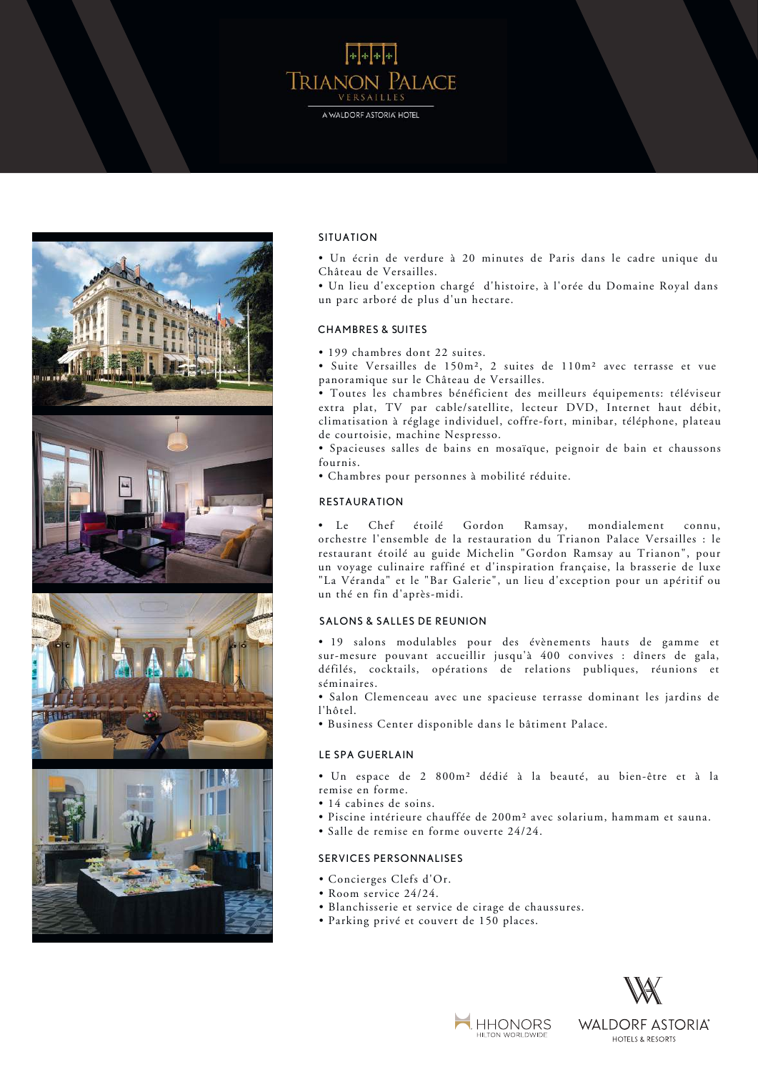



### SITUATION

• A haven of greenery 20 minutes from Paris. • Un écrin de verdure à 20 minutes de Paris dans le cadre unique du Château de Versailles.

un parc arboré de plus d'un hectare. • Un lieu d'exception chargé d'histoire, à l'orée du Domaine Royal dans

#### CHAMBRES & SUITES.  $\mathbf{B}$  is the suite state of 110 sqm version of 110 sqm with panoramic terrace and  $\mathbf{B}$  suites and  $\mathbf{B}$  suites and  $\mathbf{B}$  suites and  $\mathbf{B}$  suites and  $\mathbf{B}$  suites and  $\mathbf{B}$  suites and  $\mathbf{B}$  suites

• 199 chambres dont 22 suites.

• 199 cnambres dont 22 suites.<br>• Suite Versailles de 150m², 2 suites de 110m² avec terrasse et vue panoramique sur le Château de Versailles.<br>Través in a 3-hectare garden. buite versallies de 150m<sup>2</sup>, 2 suites de 110m<sup>2</sup> avec terrasse of the edge of the edge of the edge of the edge of the edge of the edge of the edge of the edge of the edge of the edge of the edge of the edge of the edge of

• Toutes les chambres bénéficient des meilleurs équipements: téléviseur extra plat, TV par cable/satellite, lecteur DVD, Internet haut débit, climatisation à réglage individuel, coffre-fort, minibar, téléphone, plateau de courtoisie, machine Nespresso.

· Spacieuses salles de bains en mosaïque, peignoir de bain et chaussons fournis. nis.

• The internationally-recognised Chef, Gordon Ramsay, runs the • Chambres pour personnes à mobilité réduite. TV, DVD player, high-speed Internet, individual air-conditioning, safe,

## $RESTAURATION$

Le Chef étoilé Gordon Ramsay, restaurant étoile au guide Michelm Cordon Ramsay au Frianon ; pour "La Véranda" et le "Bar Galerie", un lieu d'exception pour un apéritif ou un thé en fin d'après-midi. étoilé Gordon Ramsay, mondialement connu, orchestre l'ensemble de la restauration du Trianon Palace Versailles : le restaurant étoilé au guide Michelin "Gordon Ramsay au Trianon", pour • Spacious mosaic bathrooms, with bathrobe and slippers included.

### SALONS & SALLES DE REUNION **brasserie and the gardens of the gardens of the "Bar Galerie"**

• 19 salons modulables pour des évènements hauts de gamme et sur-mesure pouvant accueillir jusqu'à 400 convives : dîners de gala, séminaires. défilés, cocktails, opérations de relations publiques, réunions et

• Salon Clemenceau avec une spacieuse terrasse dominant les jardins de  $\overline{\phantom{a}}$   $\overline{\phantom{a}}$   $\overline{\phantom{a}}$   $\overline{\phantom{a}}$   $\overline{\phantom{a}}$   $\overline{\phantom{a}}$   $\overline{\phantom{a}}$   $\overline{\phantom{a}}$   $\overline{\phantom{a}}$   $\overline{\phantom{a}}$   $\overline{\phantom{a}}$   $\overline{\phantom{a}}$   $\overline{\phantom{a}}$   $\overline{\phantom{a}}$   $\overline{\phantom{a}}$   $\overline{\phantom{a}}$   $\overline{\phantom{a}}$   $\overline{\phantom{a}}$   $\overline{\$ l'hôtel. ala dinners dinners dinners, fashion shows, command to jaland av

• Business Center disponible dans le bâtiment Palace. with control clement and its extensive terrace.

#### LE SPA GUERLAIN SPA GUERLAIN

remise en forme. • Un espace de 2 800m² dédié à la beauté, au bien-être et à la

- 14 cabines de soins.
- Piscine intérieure chauffée de 200m<sup>2</sup> avec solarium, hammam et sauna.
- volte interieure engun • Salle de remise en forme ouverte 24/24.

# SERVICES PERSONNALISES

- Concierges Clefs d'Or.
- Room service 24/24.
- · Blanchisserie et service de cirage de chaussures.
- Parking privé et couvert de 150 places.